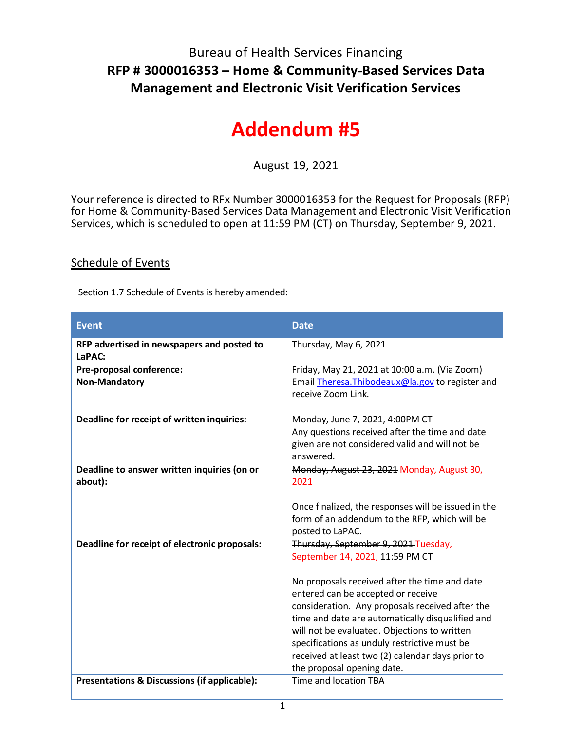## Bureau of Health Services Financing **RFP # 3000016353 – Home & Community-Based Services Data Management and Electronic Visit Verification Services**

## **Addendum #5**

August 19, 2021

Your reference is directed to RFx Number 3000016353 for the Request for Proposals (RFP) for Home & Community-Based Services Data Management and Electronic Visit Verification Services, which is scheduled to open at 11:59 PM (CT) on Thursday, September 9, 2021.

## Schedule of Events

Section 1.7 Schedule of Events is hereby amended:

| <b>Event</b>                                           | <b>Date</b>                                                                                                                                                                                                                                                                                                                                                                                                                                             |
|--------------------------------------------------------|---------------------------------------------------------------------------------------------------------------------------------------------------------------------------------------------------------------------------------------------------------------------------------------------------------------------------------------------------------------------------------------------------------------------------------------------------------|
| RFP advertised in newspapers and posted to<br>LaPAC:   | Thursday, May 6, 2021                                                                                                                                                                                                                                                                                                                                                                                                                                   |
| Pre-proposal conference:<br>Non-Mandatory              | Friday, May 21, 2021 at 10:00 a.m. (Via Zoom)<br>Email Theresa. Thibodeaux@la.gov to register and<br>receive Zoom Link.                                                                                                                                                                                                                                                                                                                                 |
| Deadline for receipt of written inquiries:             | Monday, June 7, 2021, 4:00PM CT<br>Any questions received after the time and date<br>given are not considered valid and will not be<br>answered.                                                                                                                                                                                                                                                                                                        |
| Deadline to answer written inquiries (on or<br>about): | Monday, August 23, 2021 Monday, August 30,<br>2021<br>Once finalized, the responses will be issued in the<br>form of an addendum to the RFP, which will be<br>posted to LaPAC.                                                                                                                                                                                                                                                                          |
| Deadline for receipt of electronic proposals:          | Thursday, September 9, 2021 Tuesday,<br>September 14, 2021, 11:59 PM CT<br>No proposals received after the time and date<br>entered can be accepted or receive<br>consideration. Any proposals received after the<br>time and date are automatically disqualified and<br>will not be evaluated. Objections to written<br>specifications as unduly restrictive must be<br>received at least two (2) calendar days prior to<br>the proposal opening date. |
| Presentations & Discussions (if applicable):           | Time and location TBA                                                                                                                                                                                                                                                                                                                                                                                                                                   |